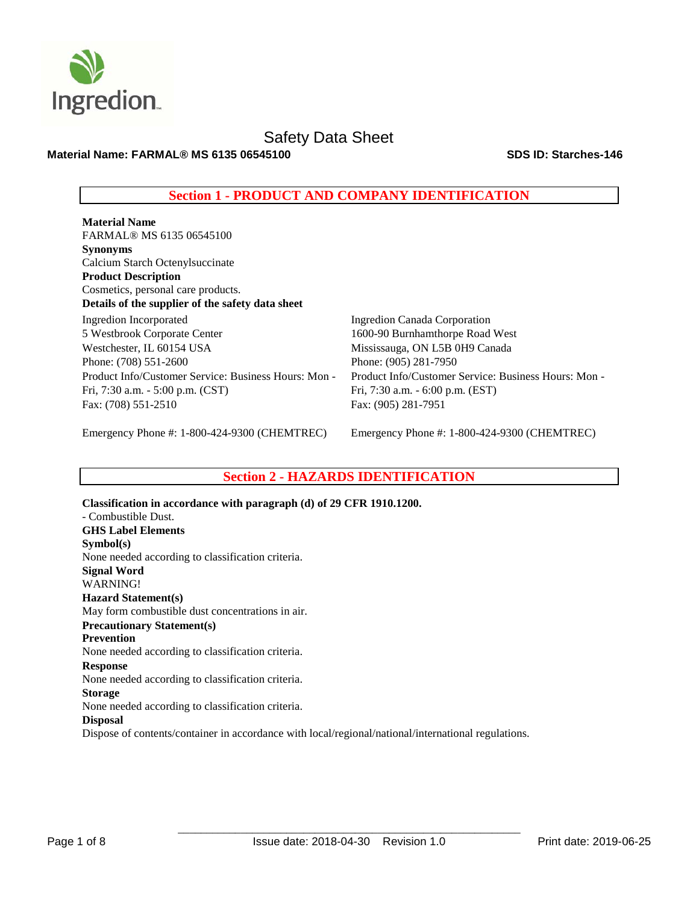

**Material Name: FARMAL® MS 6135 06545100 SDS ID: Starches-146**

# **Section 1 - PRODUCT AND COMPANY IDENTIFICATION**

**Material Name**  FARMAL® MS 6135 06545100 **Synonyms** Calcium Starch Octenylsuccinate **Product Description**  Cosmetics, personal care products. **Details of the supplier of the safety data sheet** Ingredion Incorporated 5 Westbrook Corporate Center Westchester, IL 60154 USA Phone: (708) 551-2600 Product Info/Customer Service: Business Hours: Mon - Fri, 7:30 a.m. - 5:00 p.m. (CST) Fax: (708) 551-2510

Ingredion Canada Corporation 1600-90 Burnhamthorpe Road West Mississauga, ON L5B 0H9 Canada Phone: (905) 281-7950 Product Info/Customer Service: Business Hours: Mon - Fri, 7:30 a.m. - 6:00 p.m. (EST) Fax: (905) 281-7951

Emergency Phone #: 1-800-424-9300 (CHEMTREC)

Emergency Phone #: 1-800-424-9300 (CHEMTREC)

# **Section 2 - HAZARDS IDENTIFICATION**

**Classification in accordance with paragraph (d) of 29 CFR 1910.1200.**  - Combustible Dust. **GHS Label Elements Symbol(s)**  None needed according to classification criteria. **Signal Word**  WARNING! **Hazard Statement(s)**  May form combustible dust concentrations in air. **Precautionary Statement(s) Prevention**  None needed according to classification criteria. **Response**  None needed according to classification criteria. **Storage**  None needed according to classification criteria. **Disposal**  Dispose of contents/container in accordance with local/regional/national/international regulations.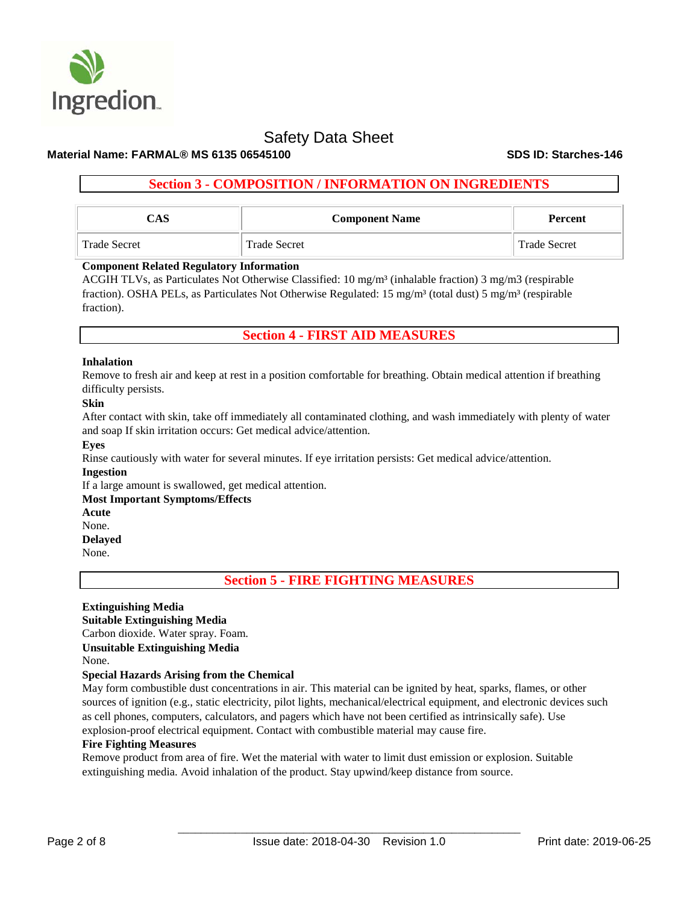

# **Material Name: FARMAL® MS 6135 06545100 SDS ID: Starches-146**

# **Section 3 - COMPOSITION / INFORMATION ON INGREDIENTS**

| $\mathbb{C}\mathbf{AS}$ | <b>Component Name</b> | Percent             |  |  |
|-------------------------|-----------------------|---------------------|--|--|
| <b>Trade Secret</b>     | <b>Trade Secret</b>   | <b>Trade Secret</b> |  |  |

# **Component Related Regulatory Information**

ACGIH TLVs, as Particulates Not Otherwise Classified: 10 mg/m³ (inhalable fraction) 3 mg/m3 (respirable fraction). OSHA PELs, as Particulates Not Otherwise Regulated: 15 mg/m<sup>3</sup> (total dust) 5 mg/m<sup>3</sup> (respirable fraction).

# **Section 4 - FIRST AID MEASURES**

### **Inhalation**

Remove to fresh air and keep at rest in a position comfortable for breathing. Obtain medical attention if breathing difficulty persists.

### **Skin**

After contact with skin, take off immediately all contaminated clothing, and wash immediately with plenty of water and soap If skin irritation occurs: Get medical advice/attention.

### **Eyes**

Rinse cautiously with water for several minutes. If eye irritation persists: Get medical advice/attention.

### **Ingestion**

If a large amount is swallowed, get medical attention.

### **Most Important Symptoms/Effects**

**Acute** 

# None.

**Delayed** 

None.

**Section 5 - FIRE FIGHTING MEASURES**

# **Extinguishing Media**

**Suitable Extinguishing Media**  Carbon dioxide. Water spray. Foam. **Unsuitable Extinguishing Media** None.

# **Special Hazards Arising from the Chemical**

May form combustible dust concentrations in air. This material can be ignited by heat, sparks, flames, or other sources of ignition (e.g., static electricity, pilot lights, mechanical/electrical equipment, and electronic devices such as cell phones, computers, calculators, and pagers which have not been certified as intrinsically safe). Use explosion-proof electrical equipment. Contact with combustible material may cause fire.

### **Fire Fighting Measures**

Remove product from area of fire. Wet the material with water to limit dust emission or explosion. Suitable extinguishing media. Avoid inhalation of the product. Stay upwind/keep distance from source.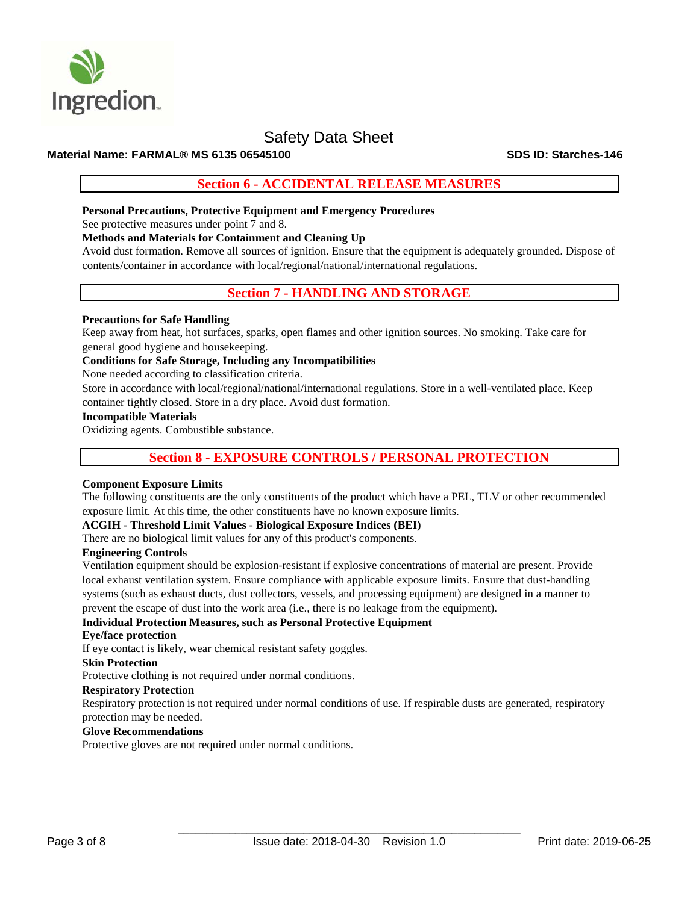

# **Material Name: FARMAL® MS 6135 06545100 SDS ID: Starches-146**

# **Section 6 - ACCIDENTAL RELEASE MEASURES**

## **Personal Precautions, Protective Equipment and Emergency Procedures**

See protective measures under point 7 and 8.

# **Methods and Materials for Containment and Cleaning Up**

Avoid dust formation. Remove all sources of ignition. Ensure that the equipment is adequately grounded. Dispose of contents/container in accordance with local/regional/national/international regulations.

# **Section 7 - HANDLING AND STORAGE**

## **Precautions for Safe Handling**

Keep away from heat, hot surfaces, sparks, open flames and other ignition sources. No smoking. Take care for general good hygiene and housekeeping.

### **Conditions for Safe Storage, Including any Incompatibilities**

None needed according to classification criteria.

Store in accordance with local/regional/national/international regulations. Store in a well-ventilated place. Keep container tightly closed. Store in a dry place. Avoid dust formation.

## **Incompatible Materials**

Oxidizing agents. Combustible substance.

# **Section 8 - EXPOSURE CONTROLS / PERSONAL PROTECTION**

### **Component Exposure Limits**

The following constituents are the only constituents of the product which have a PEL, TLV or other recommended exposure limit. At this time, the other constituents have no known exposure limits.

# **ACGIH - Threshold Limit Values - Biological Exposure Indices (BEI)**

There are no biological limit values for any of this product's components.

## **Engineering Controls**

Ventilation equipment should be explosion-resistant if explosive concentrations of material are present. Provide local exhaust ventilation system. Ensure compliance with applicable exposure limits. Ensure that dust-handling systems (such as exhaust ducts, dust collectors, vessels, and processing equipment) are designed in a manner to prevent the escape of dust into the work area (i.e., there is no leakage from the equipment).

### **Individual Protection Measures, such as Personal Protective Equipment**

### **Eye/face protection**

If eye contact is likely, wear chemical resistant safety goggles.

#### **Skin Protection**

Protective clothing is not required under normal conditions.

## **Respiratory Protection**

Respiratory protection is not required under normal conditions of use. If respirable dusts are generated, respiratory protection may be needed.

### **Glove Recommendations**

Protective gloves are not required under normal conditions.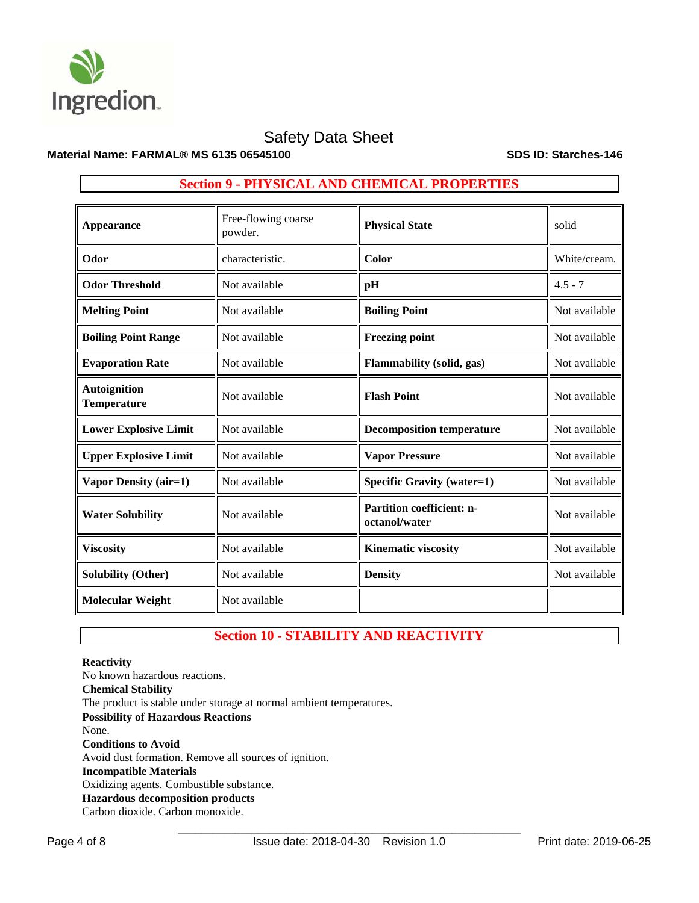

# **Material Name: FARMAL® MS 6135 06545100 SDS ID: Starches-146**

| <b>Appearance</b>                         | Free-flowing coarse<br>powder. | <b>Physical State</b>                      | solid         |  |  |
|-------------------------------------------|--------------------------------|--------------------------------------------|---------------|--|--|
| Odor                                      | characteristic.                | Color                                      | White/cream.  |  |  |
| <b>Odor Threshold</b>                     | Not available                  | pH                                         | $4.5 - 7$     |  |  |
| <b>Melting Point</b>                      | Not available                  | <b>Boiling Point</b>                       | Not available |  |  |
| <b>Boiling Point Range</b>                | Not available                  | <b>Freezing point</b>                      | Not available |  |  |
| <b>Evaporation Rate</b>                   | Not available                  | Flammability (solid, gas)                  | Not available |  |  |
| <b>Autoignition</b><br><b>Temperature</b> | Not available                  | <b>Flash Point</b>                         | Not available |  |  |
| <b>Lower Explosive Limit</b>              | Not available                  | <b>Decomposition temperature</b>           | Not available |  |  |
| <b>Upper Explosive Limit</b>              | Not available                  | <b>Vapor Pressure</b>                      | Not available |  |  |
| Vapor Density (air=1)                     | Not available                  | <b>Specific Gravity (water=1)</b>          | Not available |  |  |
| <b>Water Solubility</b>                   | Not available                  | Partition coefficient: n-<br>octanol/water | Not available |  |  |
| <b>Viscosity</b>                          | Not available                  | <b>Kinematic viscosity</b>                 | Not available |  |  |
| <b>Solubility (Other)</b>                 | Not available                  | <b>Density</b>                             | Not available |  |  |
| <b>Molecular Weight</b>                   | Not available                  |                                            |               |  |  |

# **Section 9 - PHYSICAL AND CHEMICAL PROPERTIES**

# **Section 10 - STABILITY AND REACTIVITY**

# **Reactivity**

No known hazardous reactions. **Chemical Stability** The product is stable under storage at normal ambient temperatures. **Possibility of Hazardous Reactions** None. **Conditions to Avoid** Avoid dust formation. Remove all sources of ignition. **Incompatible Materials** Oxidizing agents. Combustible substance. **Hazardous decomposition products**  Carbon dioxide. Carbon monoxide.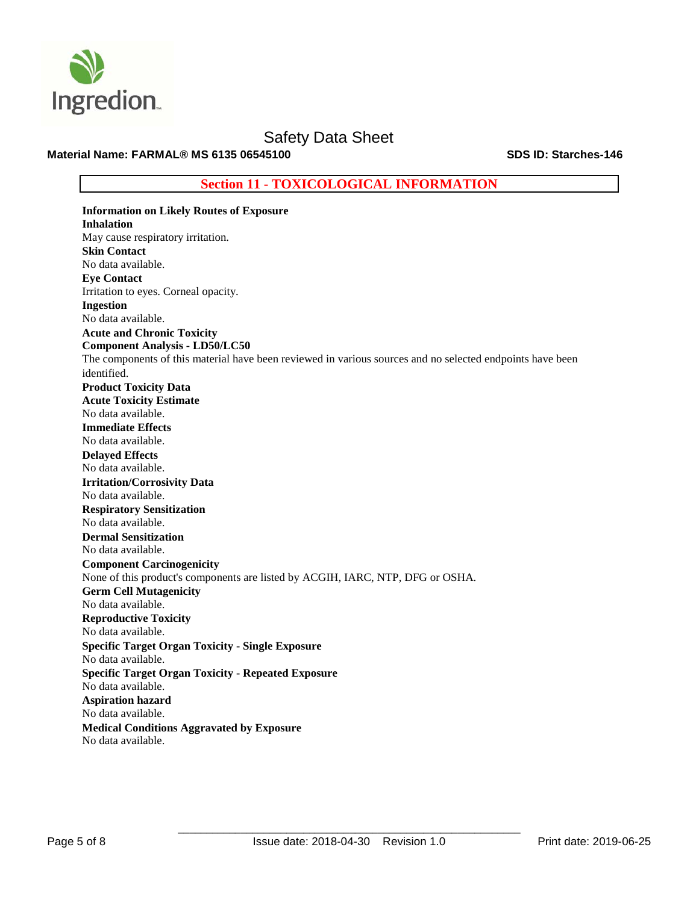

**Material Name: FARMAL® MS 6135 06545100 SDS ID: Starches-146**

**Section 11 - TOXICOLOGICAL INFORMATION**

**Information on Likely Routes of Exposure Inhalation**  May cause respiratory irritation. **Skin Contact**  No data available. **Eye Contact**  Irritation to eyes. Corneal opacity. **Ingestion**  No data available. **Acute and Chronic Toxicity Component Analysis - LD50/LC50**  The components of this material have been reviewed in various sources and no selected endpoints have been identified. **Product Toxicity Data Acute Toxicity Estimate**  No data available. **Immediate Effects**  No data available. **Delayed Effects**  No data available. **Irritation/Corrosivity Data**  No data available. **Respiratory Sensitization**  No data available. **Dermal Sensitization**  No data available. **Component Carcinogenicity**  None of this product's components are listed by ACGIH, IARC, NTP, DFG or OSHA. **Germ Cell Mutagenicity**  No data available. **Reproductive Toxicity**  No data available. **Specific Target Organ Toxicity - Single Exposure**  No data available. **Specific Target Organ Toxicity - Repeated Exposure**  No data available. **Aspiration hazard**  No data available. **Medical Conditions Aggravated by Exposure** No data available.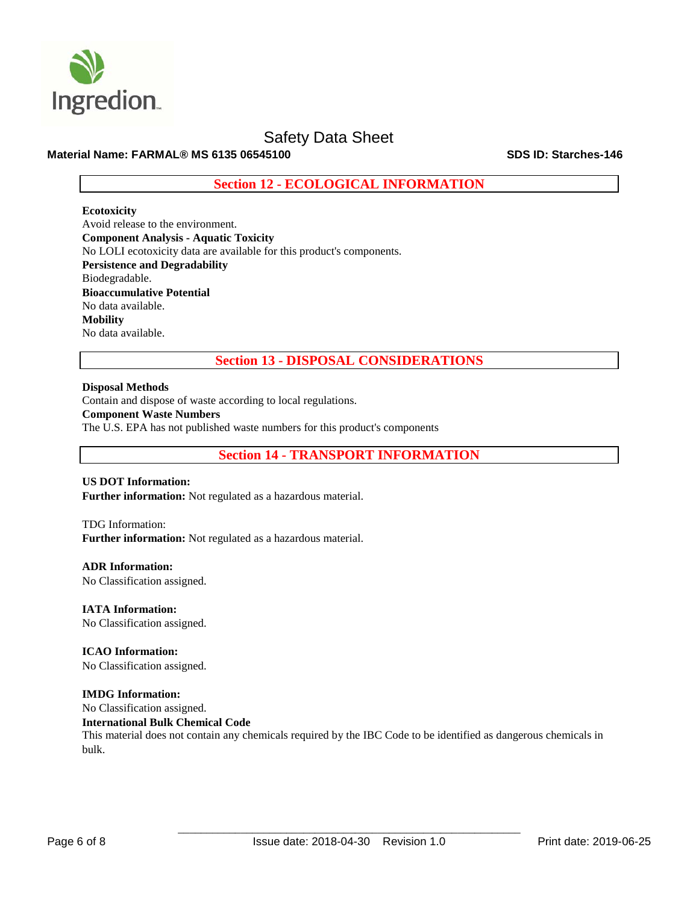

# **Material Name: FARMAL® MS 6135 06545100 SDS ID: Starches-146**

**Section 12 - ECOLOGICAL INFORMATION**

### **Ecotoxicity**

Avoid release to the environment. **Component Analysis - Aquatic Toxicity**  No LOLI ecotoxicity data are available for this product's components. **Persistence and Degradability**  Biodegradable. **Bioaccumulative Potential**  No data available. **Mobility**  No data available.

**Section 13 - DISPOSAL CONSIDERATIONS**

**Disposal Methods**

Contain and dispose of waste according to local regulations.

**Component Waste Numbers** 

The U.S. EPA has not published waste numbers for this product's components

**Section 14 - TRANSPORT INFORMATION**

# **US DOT Information:**

**Further information:** Not regulated as a hazardous material.

# TDG Information: **Further information:** Not regulated as a hazardous material.

**ADR Information:**  No Classification assigned.

**IATA Information:** 

No Classification assigned.

**ICAO Information:**  No Classification assigned.

# **IMDG Information:**

No Classification assigned.

**International Bulk Chemical Code** 

This material does not contain any chemicals required by the IBC Code to be identified as dangerous chemicals in bulk.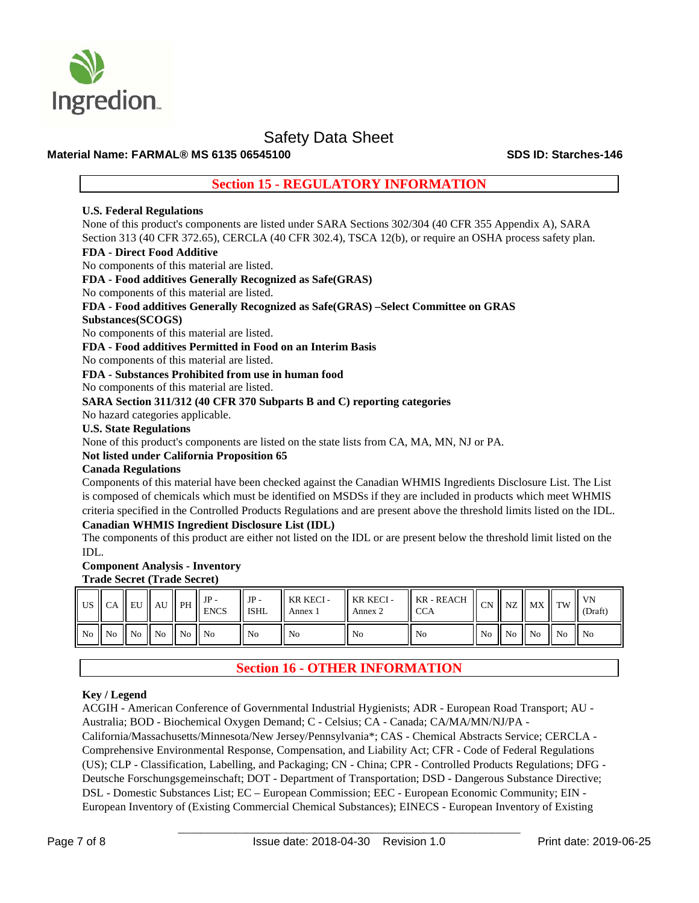

# **Material Name: FARMAL® MS 6135 06545100 SDS ID: Starches-146**

# **Section 15 - REGULATORY INFORMATION**

# **U.S. Federal Regulations**

None of this product's components are listed under SARA Sections 302/304 (40 CFR 355 Appendix A), SARA Section 313 (40 CFR 372.65), CERCLA (40 CFR 302.4), TSCA 12(b), or require an OSHA process safety plan.

# **FDA - Direct Food Additive**

No components of this material are listed.

**FDA - Food additives Generally Recognized as Safe(GRAS)** 

No components of this material are listed.

# **FDA - Food additives Generally Recognized as Safe(GRAS) –Select Committee on GRAS**

# **Substances(SCOGS)**

No components of this material are listed.

**FDA - Food additives Permitted in Food on an Interim Basis** 

No components of this material are listed.

**FDA - Substances Prohibited from use in human food** 

No components of this material are listed.

# **SARA Section 311/312 (40 CFR 370 Subparts B and C) reporting categories**

No hazard categories applicable.

# **U.S. State Regulations**

None of this product's components are listed on the state lists from CA, MA, MN, NJ or PA.

### **Not listed under California Proposition 65**

## **Canada Regulations**

Components of this material have been checked against the Canadian WHMIS Ingredients Disclosure List. The List is composed of chemicals which must be identified on MSDSs if they are included in products which meet WHMIS criteria specified in the Controlled Products Regulations and are present above the threshold limits listed on the IDL.

# **Canadian WHMIS Ingredient Disclosure List (IDL)**

The components of this product are either not listed on the IDL or are present below the threshold limit listed on the IDL.

# **Component Analysis - Inventory Trade Secret (Trade Secret)**

| US   CA |                                  | $\parallel$ EU | AU                                                    | <sup>1</sup> PH | $\mathbf{H} \mathbf{J} \mathbf{P}$<br><b>ENCS</b> | $\parallel$ JP -<br><sup>1</sup> ISHL | KR KECI -<br>Annex 1 | KR KECI-<br>Annex 2 | KR - REACH<br><b>CCA</b> | CN II | $\overline{\phantom{a}}$ NZ | $MX$ TW           |                | VN<br>(Draft)  |
|---------|----------------------------------|----------------|-------------------------------------------------------|-----------------|---------------------------------------------------|---------------------------------------|----------------------|---------------------|--------------------------|-------|-----------------------------|-------------------|----------------|----------------|
|         | $\vert$ No $\vert$ No $\vert$ No |                | $\blacksquare$ No $\blacksquare$ No $\blacksquare$ No |                 |                                                   | ll No                                 | No                   | - No                | l No                     | No No |                             | $\blacksquare$ No | $\parallel$ No | $\parallel$ No |

# **Section 16 - OTHER INFORMATION**

# **Key / Legend**

ACGIH - American Conference of Governmental Industrial Hygienists; ADR - European Road Transport; AU - Australia; BOD - Biochemical Oxygen Demand; C - Celsius; CA - Canada; CA/MA/MN/NJ/PA -

California/Massachusetts/Minnesota/New Jersey/Pennsylvania\*; CAS - Chemical Abstracts Service; CERCLA - Comprehensive Environmental Response, Compensation, and Liability Act; CFR - Code of Federal Regulations (US); CLP - Classification, Labelling, and Packaging; CN - China; CPR - Controlled Products Regulations; DFG - Deutsche Forschungsgemeinschaft; DOT - Department of Transportation; DSD - Dangerous Substance Directive; DSL - Domestic Substances List; EC – European Commission; EEC - European Economic Community; EIN - European Inventory of (Existing Commercial Chemical Substances); EINECS - European Inventory of Existing